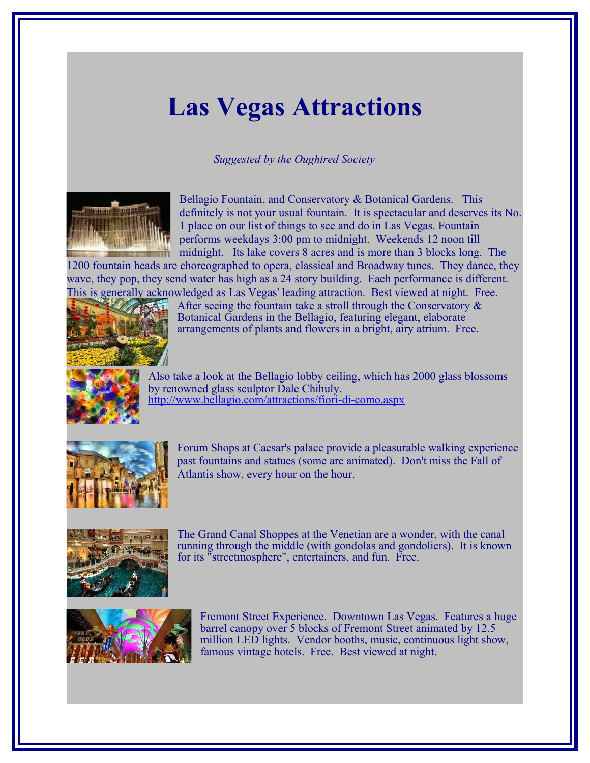## **Las Vegas Attractions**

## *Suggested by the Oughtred Society*



Bellagio Fountain, and Conservatory & Botanical Gardens. This definitely is not your usual fountain. It is spectacular and deserves its No. 1 place on our list of things to see and do in Las Vegas. Fountain performs weekdays 3:00 pm to midnight. Weekends 12 noon till midnight. Its lake covers 8 acres and is more than 3 blocks long. The

1200 fountain heads are choreographed to opera, classical and Broadway tunes. They dance, they wave, they pop, they send water has high as a 24 story building. Each performance is different. This is generally acknowledged as Las Vegas' leading attraction. Best viewed at night. Free.



After seeing the fountain take a stroll through the Conservatory  $\&$ Botanical Gardens in the Bellagio, featuring elegant, elaborate arrangements of plants and flowers in a bright, airy atrium. Free.



Also take a look at the Bellagio lobby ceiling, which has 2000 glass blossoms by renowned glass sculptor Dale Chihuly. <http://www.bellagio.com/attractions/fiori-di-como.aspx>



Forum Shops at Caesar's palace provide a pleasurable walking experience past fountains and statues (some are animated). Don't miss the Fall of Atlantis show, every hour on the hour.



The Grand Canal Shoppes at the Venetian are a wonder, with the canal running through the middle (with gondolas and gondoliers). It is known for its "streetmosphere", entertainers, and fun. Free.



Fremont Street Experience. Downtown Las Vegas. Features a huge barrel canopy over 5 blocks of Fremont Street animated by 12.5 million LED lights. Vendor booths, music, continuous light show, famous vintage hotels. Free. Best viewed at night.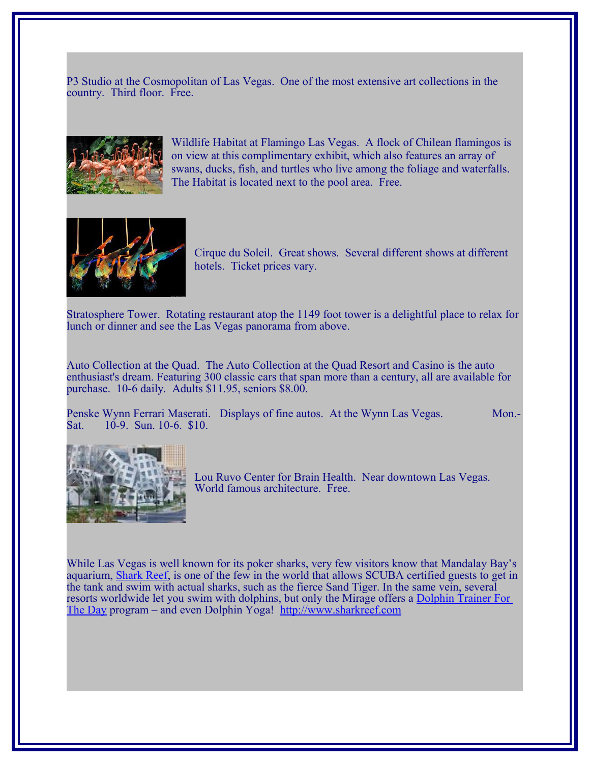P3 Studio at the Cosmopolitan of Las Vegas. One of the most extensive art collections in the country. Third floor. Free.



Wildlife Habitat at Flamingo Las Vegas. A flock of Chilean flamingos is on view at this complimentary exhibit, which also features an array of swans, ducks, fish, and turtles who live among the foliage and waterfalls. The Habitat is located next to the pool area. Free.



Cirque du Soleil. Great shows. Several different shows at different hotels. Ticket prices vary.

Stratosphere Tower. Rotating restaurant atop the 1149 foot tower is a delightful place to relax for lunch or dinner and see the Las Vegas panorama from above.

Auto Collection at the Quad. The Auto Collection at the Quad Resort and Casino is the auto enthusiast's dream. Featuring 300 classic cars that span more than a century, all are available for purchase. 10-6 daily. Adults \$11.95, seniors \$8.00.

Penske Wynn Ferrari Maserati. Displays of fine autos. At the Wynn Las Vegas. Mon.- Sat. 10-9. Sun. 10-6. \$10.



Lou Ruvo Center for Brain Health. Near downtown Las Vegas. World famous architecture. Free.

While Las Vegas is well known for its poker sharks, very few visitors know that Mandalay Bay's aquarium, [Shark Reef,](http://www.sharkreef.com/) is one of the few in the world that allows SCUBA certified guests to get in the tank and swim with actual sharks, such as the fierce Sand Tiger. In the same vein, several resorts worldwide let you swim with dolphins, but only the Mirage offers a [Dolphin Trainer For](http://www.miragehabitat.com/pages/dolphin_tfad.asp)  [The Day](http://www.miragehabitat.com/pages/dolphin_tfad.asp) program – and even Dolphin Yoga! [http://www.sharkreef.com](http://www.sharkreef.com/)